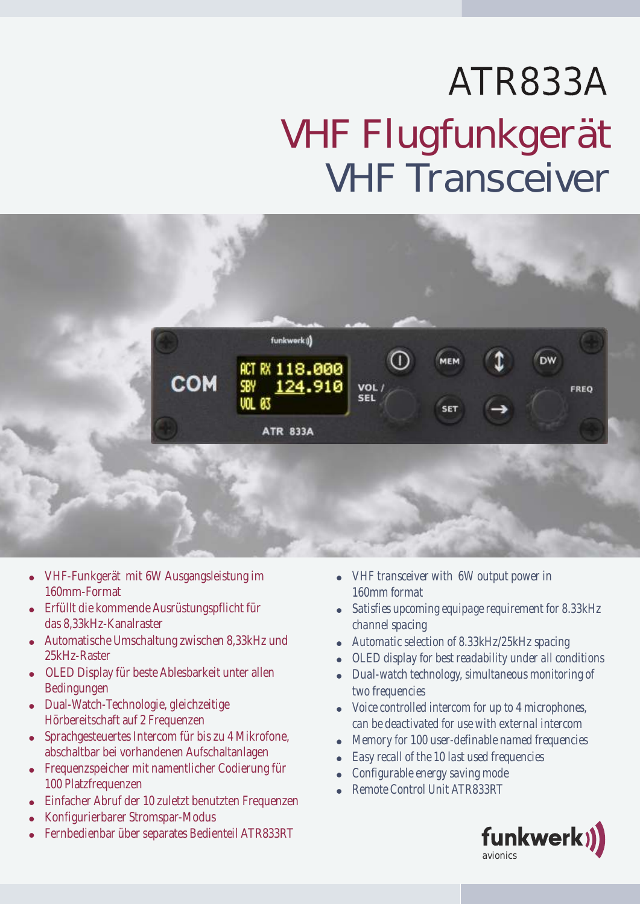## ATR833A VHF Flugfunkgerät VHF Transceiver



- · VHF-Funkgerät mit 6W Ausgangsleistung im 160mm-Format
- · Erfüllt die kommende Ausrüstungspflicht für das 8,33kHz-Kanalraster
- · Automatische Umschaltung zwischen 8,33kHz und 25kHz-Raster
- · OLED Display für beste Ablesbarkeit unter allen Bedingungen
- · Dual-Watch-Technologie, gleichzeitige Hörbereitschaft auf 2 Frequenzen
- · Sprachgesteuertes Intercom für bis zu 4 Mikrofone, abschaltbar bei vorhandenen Aufschaltanlagen
- · Frequenzspeicher mit namentlicher Codierung für 100 Platzfrequenzen
- · Einfacher Abruf der 10 zuletzt benutzten Frequenzen
- · Konfigurierbarer Stromspar-Modus
- · Fernbedienbar über separates Bedienteil ATR833RT
- · *VHF transceiver with 6W output power in 160mm format*
- · *Satisfies upcoming equipage requirement for 8.33kHz channel spacing*
- · *Automatic selection of 8.33kHz/25kHz spacing*
- · *OLED display for best readability under all conditions*
- · *Dual-watch technology, simultaneous monitoring of two frequencies*
- · *Voice controlled intercom for up to 4 microphones, can be deactivated for use with external intercom*
- · *Memory for 100 user-definable named frequencies*
- · *Easy recall of the 10 last used frequencies*
- · *Configurable energy saving mode*
- · *Remote Control Unit ATR833RT*